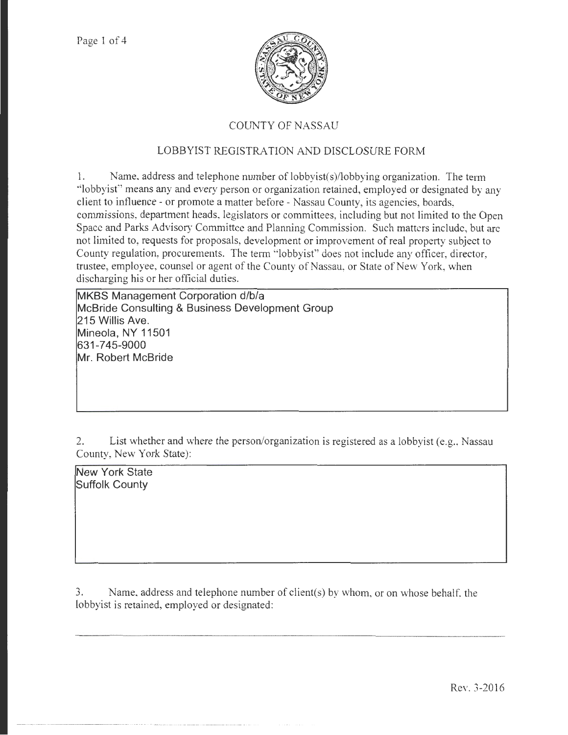

## COUNTY OF NASSAU

## LOBBYIST REGISTRATION AND DISCLOSURE FORM

1. Name, address and telephone number of lobbyist(s)/lobbying organization. The term "lobbyist" means any and every person or organization retained, employed or designated by any client to influence - or promote a matter before- Nassau County, its agencies, boards, commissions, department heads, legislators or committees, including but not limited to the Open Space and Parks Advisory Committee and Planning Commission. Such matters include, but are not limited to, requests for proposals, development or improvement of real property subject to County regulation, procurements. The term "lobbyist" does not include any officer, director, trustee, employee, counsel or agent of the County of Nassau, or State of New York, when discharging his or her official duties.

**MKBS Management Corporation d/b/a McBride Consulting & Business Development Group 215 Willis Ave. Mineola, NY 11501 631-7 45-9000 Mr. Robert McBride** 

2. List whether and where the person/organization is registered as a lobbyist (e.g., Nassau County, New York State):

**New York State Suffolk County** 

3. Name, address and telephone number of client(s) by whom, or on whose behalf, the lobbyist is retained, employed or designated: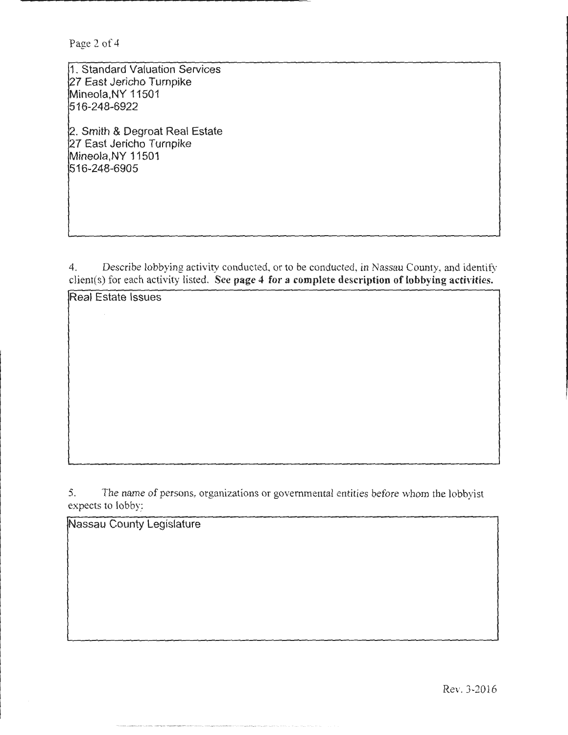Page 2 of 4

1. Standard Valuation Services 27 East Jericho Turnpike Mineola, NY 11501 516-248-6922

2. Smith & Degroat Real Estate 27 East Jericho Turnpike Mineola,NY 11501 516-248-6905

Real Estate Issues

4. Describe lobbying activity conducted, or to be conducted, in Nassau County, and identify client(s) for each activity listed. See page 4 for a complete description of lobbying activities.

5. The name of persons, organizations or governmental entities before whom the lobbyist

Nassau County Legislature

expects to lobby:

Rev. 3-2016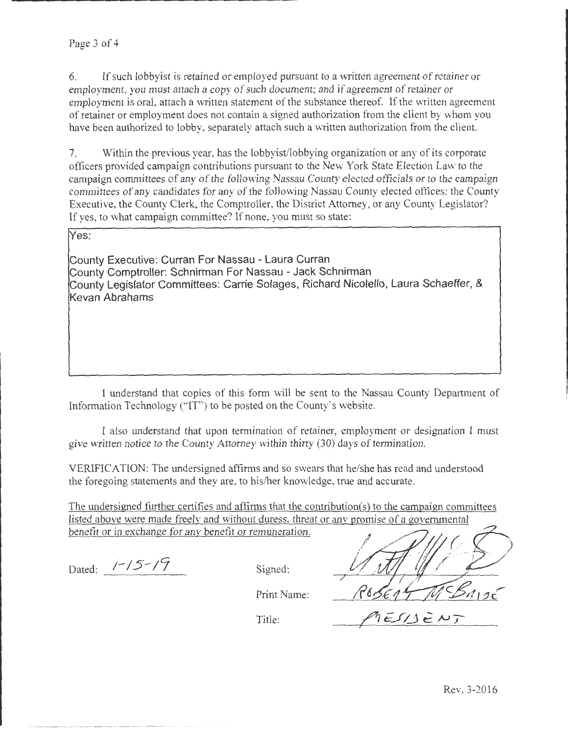6. If such lobbyist is retained or employed pursuant to a written agreement of retainer or employment, you must attach a copy of such document; and if agreement of retainer or employment is oral, attach a written statement of the substance thereof. If the written agreement of retainer or employment does not contain a signed authorization from the client by whom you have been authorized to lobby, separately attach such a written authorization from the client.

7. Within the previous year, has the lobbyist/lobbying organization or any of its corporate officers provided campaign contributions pursuant to the New York State Election Law to the campaign committees of any of the following Nassau County elected officials or to the campaign committees of any candidates for any of the following Nassau County elected offices: the County Executive, the County Clerk, the Comptroller, the District Attorney, or any County Legislator? If yes, to what campaign committee? If none, you must so state:

Yes:

County Executive: Curran For Nassau - Laura Curran County Comptroller: Schnirman For Nassau - Jack Schnirman County Legislator Committees: Carrie Solages, Richard Nicolello, Laura Schaeffer, & Kevan Abrahams

I understand that copies of this form will be sent to the Nassau County Department of Information Technology ("IT") to be posted on the County's website.

I also understand that upon termination of retainer, employment or designation I must give written notice to the County Attorney within thirty (30) days of termination.

VERIFICATION: The undersigned affirms and so swears that he/she has read and understood the foregoing statements and they are, to his/her knowledge, true and accurate.

The undersigned further certifies and affirms that the contribution(s) to the campaign committees listed above were made freely and without duress. threat or anv promise of a governmental benefit or in exchange for any benefit or remuneration.

Print Name:

Dated:  $1-15-19$  $15 - 17$  Signed:

Title:

 $E S / S \in \mathcal{N}$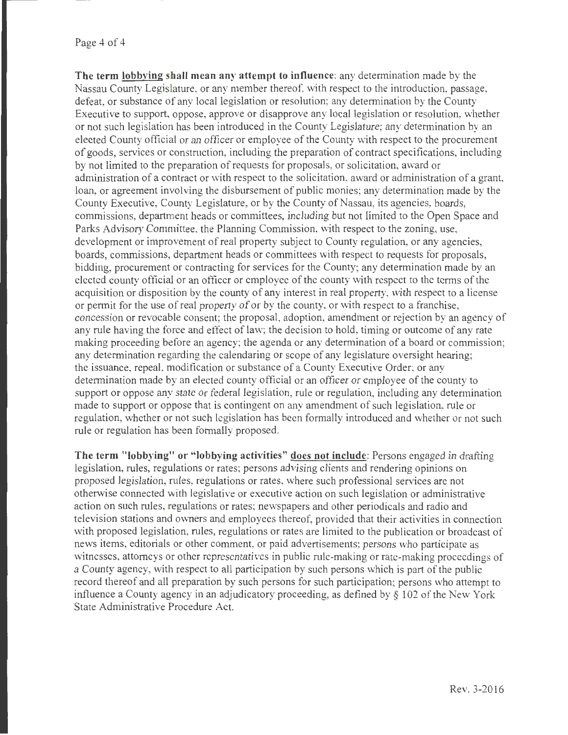## Page 4 of 4

The term lobbving shall mean any attempt to influence: any determination made by the Nassau County Legislature, or any member thereof, with respect to the introduction, passage, defeat, or substance of any local legislation or resolution; any determination by the County Executive to support, oppose, approve or disapprove any local legislation or resolution, whether or not such legislation has been introduced in the County Legislature; any determination by an elected County official or an officer or employee of the County with respect to the procurement of goods, services or construction, including the preparation of contract specifications, including by not limited to the preparation of requests for proposals, or solicitation, award or administration of a contract or with respect to the solicitation, award or administration of a grant, loan, or agreement involving the disbursement of public monies; any determination made by the County Executive, County Legislature, or by the County of Nassau, its agencies, boards, commissions, department heads or committees, including but not limited to the Open Space and Parks Advisory Committee, the Planning Commission, with respect to the zoning, use, development or improvement of real property subject to County regulation, or any agencies, boards, commissions, department heads or committees with respect to requests for proposals, bidding, procurement or contracting for services for the County; any determination made by an elected county official or an officer or employee of the county with respect to the terms of the acquisition or disposition by the county of any interest in real property, with respect to a license or permit for the use of real property of or by the county, or with respect to a franchise, concession or revocable consent; the proposal, adoption, amendment or rejection by an agency of any rule having the force and effect of law; the decision to hold, timing or outcome of any rate making proceeding before an agency; the agenda or any determination of a board or commission; any determination regarding the calendaring or scope of any legislature oversight hearing; the issuance, repeal, modification or substance of a County Executive Order; or any determination made by an elected county official or an officer or employee of the county to support or oppose any state or federal legislation, rule or regulation, including any determination made to support or oppose that is contingent on any amendment of such legislation, rule or regulation, whether or not such legislation has been formally introduced and whether or not such rule or regulation has been formally proposed.

The term "lobbying'' or "lobbying activities" does not include: Persons engaged in drafting legislation, rules, regulations or rates; persons advising clients and rendering opinions on proposed legislation, rules, regulations or rates, where such professional services are not otherwise connected with legislative or executive action on such legislation or administrative action on such rules, regulations or rates; newspapers and other periodicals and radio and television stations and owners and employees thereof, provided that their activities in connection with proposed legislation, rules, regulations or rates are limited to the publication or broadcast of news items, editorials or other comment, or paid advertisements; persons who participate as witnesses, attorneys or other representatives in public rule-making or rate-making proceedings of a County agency, with respect to all participation by such persons which is part of the public record thereof and all preparation by such persons for such participation; persons who attempt to influence a County agency in an adjudicatory proceeding, as defined by  $\S$  102 of the New York State Administrative Procedure Act.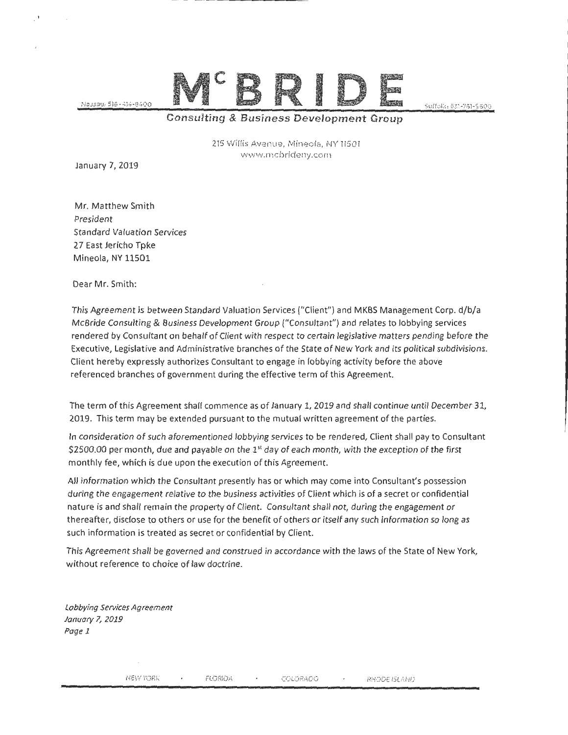Nassau: 516 - 414-8400

....... \_\_\_\_\_\_\_\_\_\_\_\_\_\_ \_

**Consulting & Business Development Group** 

 $Suffable: 631-761-9600$ 

215 Willis Avenue, Mineola, NY 11501 www.mcbrideny.con1

January 7, 2019

Mr. Matthew Smith President Standard Valuation Services 27 East Jericho Tpke Mineola, NY 11501

Dear Mr. Smith:

This Agreement is between Standard Valuation Services ("Client") and MKBS Management Corp. d/b/a McBride Consulting & Business Development Group ("Consultant") and relates to lobbying services rendered by Consultant on behalf of Client with respect to certain legislative matters pending before the Executive, legislative and Administrative branches of the State of New York and its political subdivisions. Client hereby expressly authorizes Consultant to engage in lobbying activity before the above referenced branches of government during the effective term of this Agreement.

The term of this Agreement shall commence as of January 1, 2019 and shall continue until December 31, 2019. This term may be extended pursuant to the mutual written agreement of the parties.

In consideration of such aforementioned lobbying services to be rendered, Client shall pay to Consultant \$2500.00 per month, due and payable on the 1<sup>st</sup> day of each month, with the exception of the first monthly fee, which is due upon the execution of this Agreement.

All information which the Consultant presently has or which may come into Consultant's possession during the engagement relative to the business activities of Client which is of a secret or confidential nature is and shall remain the property of Client. Consultant shall not, during the engagement or thereafter, disclose to others or use for the benefit of others or itself any such information so long as such information is treated as secret or confidential by Client.

This Agreement shall be governed and construed in accordance with the laws of the State of New York, without reference to choice of law doctrine.

Lobbying Services Agreement January 7, 2019 Page 1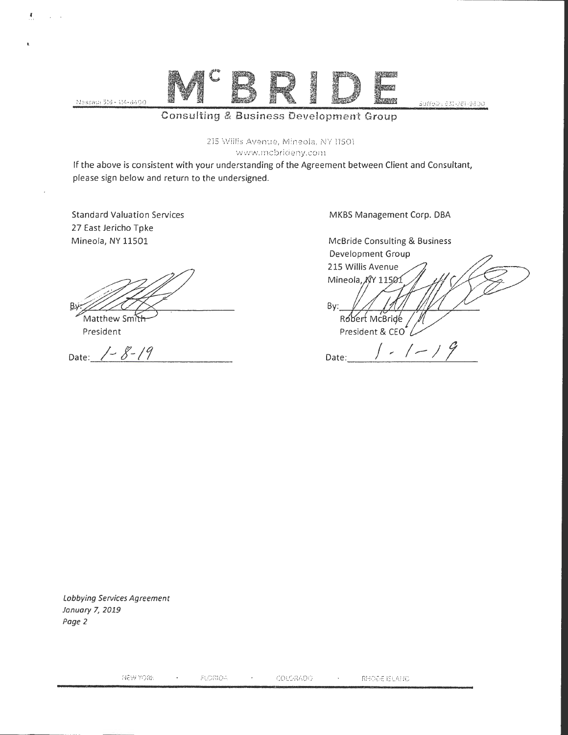

Nassau: 516 - 414-8400

 $\pmb{\ell}$ 

 $\sqrt{1-\lambda}$ 

## Consulting & Business Development Group

215 Willis Avenue, Mineola. NY 11501

wwvv.mcbricieny.con1

If the above is consistent with your understanding of the Agreement between Client and Consultant, please sign below and return to the undersigned.

Standard Valuation Services 27 East Jericho Tpke Mineola, NY 11501

**By** Matthew Smith

President

Date:  $1 - 8 - 19$ 

MKBS Management Corp. DBA

McBride Consulting & Business Development Group 215 Willis Avenue Mineola, XY 11501 By: Robert McBride President & CEO<sup>\*</sup> /<br>Date:  $\frac{1}{2}$  / - / 9

Suffoik: 631-761-9600

Lobbying Services Agreement January 7, 2019 Page2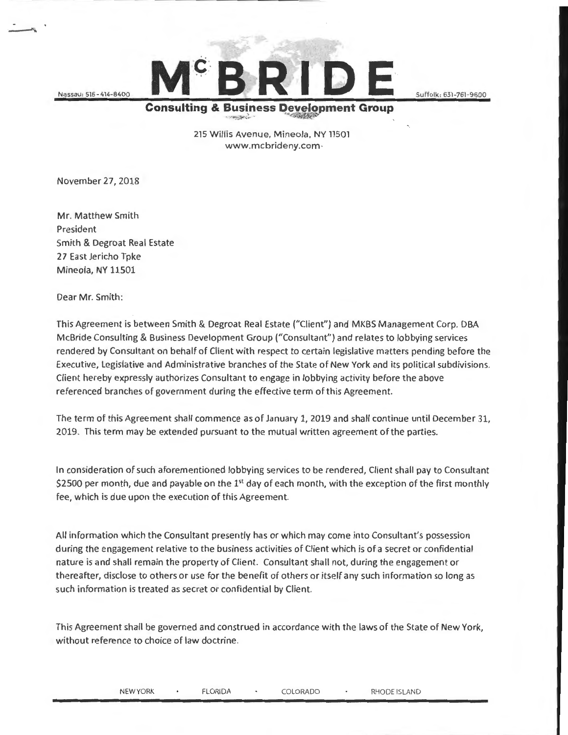Nassau: 516 - 414-8400

**Consulting & Business Development Group** 

Suffolk: 631-761-9600

215 Willis Avenue, Mineola, NY 11501 www.mcbrideny.com ·

November 27, 2018

Mr. Matthew Smith President Smith & Degroat Real Estate 27 East Jericho Tpke Mineola, NY 11501

Dear Mr. Smith:

This Agreement is between Smith & Degroat Real Estate ("Client") and MKBS Management Corp. DBA McBride Consulting & Business Development Group ("Consultant") and relates to lobbying services rendered by Consultant on behalf of Client with respect to certain legislative matters pending before the Executive, Legislative and Administrative branches of the State of New York and its political subdivisions. Client hereby expressly authorizes Consultant to engage in lobbying activity before the above referenced branches of government during the effective term of this Agreement.

The term of this Agreement shall commence as of January 1, 2019 and shall continue until December 31, 2019. This term may be extended pursuant to the mutual written agreement of the parties.

In consideration of such aforementioned lobbying services to be rendered, Client shall pay to Consultant \$2500 per month, due and payable on the 1<sup>st</sup> day of each month, with the exception of the first monthly fee, which is due upon the execution of this Agreement.

All information which the Consultant presently has or which may come into Consultant's possession during the engagement relative to the business activities of Client which is of a secret or confidential nature is and shall remain the property of Client. Consultant shall not, during the engagement or thereafter, disclose to others or use for the benefit of others or itself any such information so long as such information is treated as secret or confidential by Client.

This Agreement shall be governed and construed in accordance with the laws of the State of New York, without reference to choice of law doctrine.